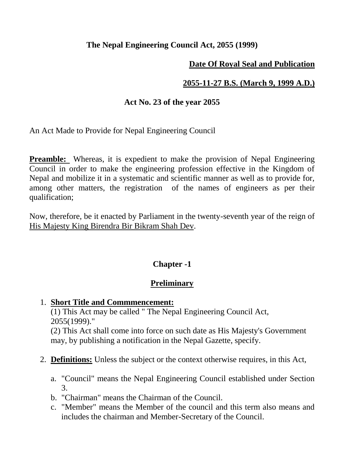### **The Nepal Engineering Council Act, 2055 (1999)**

## **Date Of Royal Seal and Publication**

# **2055-11-27 B.S. (March 9, 1999 A.D.)**

## **Act No. 23 of the year 2055**

An Act Made to Provide for Nepal Engineering Council

**Preamble:** Whereas, it is expedient to make the provision of Nepal Engineering Council in order to make the engineering profession effective in the Kingdom of Nepal and mobilize it in a systematic and scientific manner as well as to provide for, among other matters, the registration of the names of engineers as per their qualification;

Now, therefore, be it enacted by Parliament in the twenty-seventh year of the reign of His Majesty King Birendra Bir Bikram Shah Dev.

# **Chapter -1**

# **Preliminary**

1. **Short Title and Commmencement:**

(1) This Act may be called " The Nepal Engineering Council Act, 2055(1999)."

(2) This Act shall come into force on such date as His Majesty's Government may, by publishing a notification in the Nepal Gazette, specify.

- 2. **Definitions:** Unless the subject or the context otherwise requires, in this Act,
	- a. "Council" means the Nepal Engineering Council established under Section 3.
	- b. "Chairman" means the Chairman of the Council.
	- c. "Member" means the Member of the council and this term also means and includes the chairman and Member-Secretary of the Council.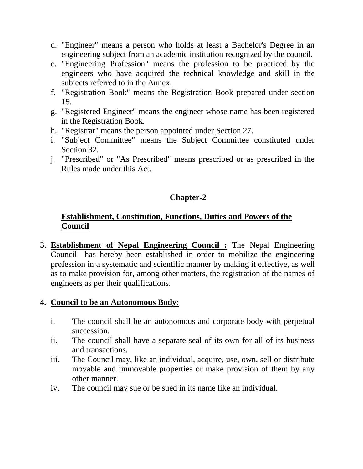- d. "Engineer" means a person who holds at least a Bachelor's Degree in an engineering subject from an academic institution recognized by the council.
- e. "Engineering Profession" means the profession to be practiced by the engineers who have acquired the technical knowledge and skill in the subjects referred to in the Annex.
- f. "Registration Book" means the Registration Book prepared under section 15.
- g. "Registered Engineer" means the engineer whose name has been registered in the Registration Book.
- h. "Registrar" means the person appointed under Section 27.
- i. "Subject Committee" means the Subject Committee constituted under Section 32.
- j. "Prescribed" or "As Prescribed" means prescribed or as prescribed in the Rules made under this Act.

# **Chapter-2**

### **Establishment, Constitution, Functions, Duties and Powers of the Council**

3. **Establishment of Nepal Engineering Council :** The Nepal Engineering Council has hereby been established in order to mobilize the engineering profession in a systematic and scientific manner by making it effective, as well as to make provision for, among other matters, the registration of the names of engineers as per their qualifications.

### **4. Council to be an Autonomous Body:**

- i. The council shall be an autonomous and corporate body with perpetual succession.
- ii. The council shall have a separate seal of its own for all of its business and transactions.
- iii. The Council may, like an individual, acquire, use, own, sell or distribute movable and immovable properties or make provision of them by any other manner.
- iv. The council may sue or be sued in its name like an individual.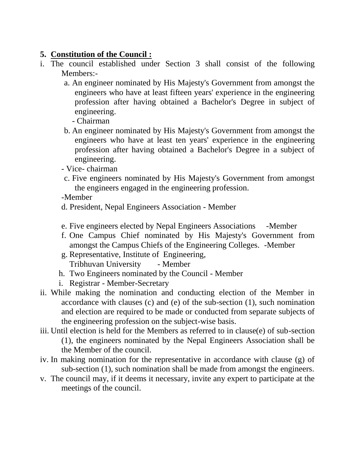### **5. Constitution of the Council :**

- i. The council established under Section 3 shall consist of the following Members:
	- a. An engineer nominated by His Majesty's Government from amongst the engineers who have at least fifteen years' experience in the engineering profession after having obtained a Bachelor's Degree in subject of engineering.
		- Chairman
	- b. An engineer nominated by His Majesty's Government from amongst the engineers who have at least ten years' experience in the engineering profession after having obtained a Bachelor's Degree in a subject of engineering.
	- Vice- chairman
	- c. Five engineers nominated by His Majesty's Government from amongst the engineers engaged in the engineering profession.
	- -Member
	- d. President, Nepal Engineers Association Member
	- e. Five engineers elected by Nepal Engineers Associations -Member
	- f. One Campus Chief nominated by His Majesty's Government from amongst the Campus Chiefs of the Engineering Colleges. -Member
	- g. Representative, Institute of Engineering, Tribhuvan University - Member
	- h. Two Engineers nominated by the Council Member
	- i. Registrar Member-Secretary
- ii. While making the nomination and conducting election of the Member in accordance with clauses (c) and (e) of the sub-section (1), such nomination and election are required to be made or conducted from separate subjects of the engineering profession on the subject-wise basis.
- iii. Until election is held for the Members as referred to in clause(e) of sub-section (1), the engineers nominated by the Nepal Engineers Association shall be the Member of the council.
- iv. In making nomination for the representative in accordance with clause (g) of sub-section (1), such nomination shall be made from amongst the engineers.
- v. The council may, if it deems it necessary, invite any expert to participate at the meetings of the council.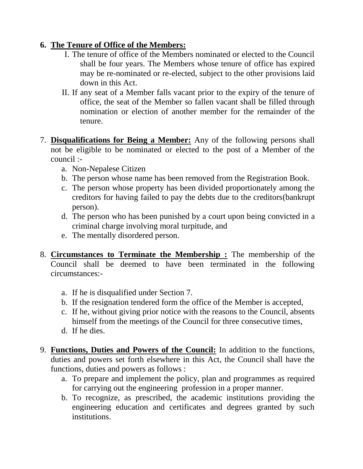# **6. The Tenure of Office of the Members:**

- I. The tenure of office of the Members nominated or elected to the Council shall be four years. The Members whose tenure of office has expired may be re-nominated or re-elected, subject to the other provisions laid down in this Act.
- II. If any seat of a Member falls vacant prior to the expiry of the tenure of office, the seat of the Member so fallen vacant shall be filled through nomination or election of another member for the remainder of the tenure.
- 7. **Disqualifications for Being a Member:** Any of the following persons shall not be eligible to be nominated or elected to the post of a Member of the council :
	- a. Non-Nepalese Citizen
	- b. The person whose name has been removed from the Registration Book.
	- c. The person whose property has been divided proportionately among the creditors for having failed to pay the debts due to the creditors(bankrupt person).
	- d. The person who has been punished by a court upon being convicted in a criminal charge involving moral turpitude, and
	- e. The mentally disordered person.
- 8. **Circumstances to Terminate the Membership :** The membership of the Council shall be deemed to have been terminated in the following circumstances:
	- a. If he is disqualified under Section 7.
	- b. If the resignation tendered form the office of the Member is accepted,
	- c. If he, without giving prior notice with the reasons to the Council, absents himself from the meetings of the Council for three consecutive times,
	- d. If he dies.
- 9. **Functions, Duties and Powers of the Council:** In addition to the functions, duties and powers set forth elsewhere in this Act, the Council shall have the functions, duties and powers as follows :
	- a. To prepare and implement the policy, plan and programmes as required for carrying out the engineering profession in a proper manner.
	- b. To recognize, as prescribed, the academic institutions providing the engineering education and certificates and degrees granted by such institutions.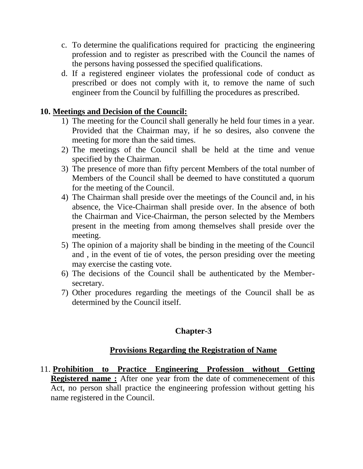- c. To determine the qualifications required for practicing the engineering profession and to register as prescribed with the Council the names of the persons having possessed the specified qualifications.
- d. If a registered engineer violates the professional code of conduct as prescribed or does not comply with it, to remove the name of such engineer from the Council by fulfilling the procedures as prescribed.

#### **10. Meetings and Decision of the Council:**

- 1) The meeting for the Council shall generally he held four times in a year. Provided that the Chairman may, if he so desires, also convene the meeting for more than the said times.
- 2) The meetings of the Council shall be held at the time and venue specified by the Chairman.
- 3) The presence of more than fifty percent Members of the total number of Members of the Council shall be deemed to have constituted a quorum for the meeting of the Council.
- 4) The Chairman shall preside over the meetings of the Council and, in his absence, the Vice-Chairman shall preside over. In the absence of both the Chairman and Vice-Chairman, the person selected by the Members present in the meeting from among themselves shall preside over the meeting.
- 5) The opinion of a majority shall be binding in the meeting of the Council and , in the event of tie of votes, the person presiding over the meeting may exercise the casting vote.
- 6) The decisions of the Council shall be authenticated by the Membersecretary.
- 7) Other procedures regarding the meetings of the Council shall be as determined by the Council itself.

# **Chapter-3**

### **Provisions Regarding the Registration of Name**

11. **Prohibition to Practice Engineering Profession without Getting Registered name :** After one year from the date of commenecement of this Act, no person shall practice the engineering profession without getting his name registered in the Council.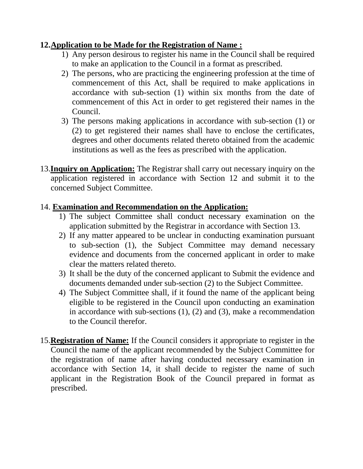## **12.Application to be Made for the Registration of Name :**

- 1) Any person desirous to register his name in the Council shall be required to make an application to the Council in a format as prescribed.
- 2) The persons, who are practicing the engineering profession at the time of commencement of this Act, shall be required to make applications in accordance with sub-section (1) within six months from the date of commencement of this Act in order to get registered their names in the Council.
- 3) The persons making applications in accordance with sub-section (1) or (2) to get registered their names shall have to enclose the certificates, degrees and other documents related thereto obtained from the academic institutions as well as the fees as prescribed with the application.
- 13.**Inquiry on Application:** The Registrar shall carry out necessary inquiry on the application registered in accordance with Section 12 and submit it to the concerned Subject Committee.

## 14. **Examination and Recommendation on the Application:**

- 1) The subject Committee shall conduct necessary examination on the application submitted by the Registrar in accordance with Section 13.
- 2) If any matter appeared to be unclear in conducting examination pursuant to sub-section (1), the Subject Committee may demand necessary evidence and documents from the concerned applicant in order to make clear the matters related thereto.
- 3) It shall be the duty of the concerned applicant to Submit the evidence and documents demanded under sub-section (2) to the Subject Committee.
- 4) The Subject Committee shall, if it found the name of the applicant being eligible to be registered in the Council upon conducting an examination in accordance with sub-sections (1), (2) and (3), make a recommendation to the Council therefor.
- 15.**Registration of Name:** If the Council considers it appropriate to register in the Council the name of the applicant recommended by the Subject Committee for the registration of name after having conducted necessary examination in accordance with Section 14, it shall decide to register the name of such applicant in the Registration Book of the Council prepared in format as prescribed.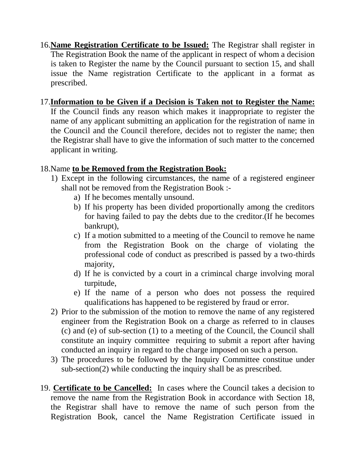16.**Name Registration Certificate to be Issued:** The Registrar shall register in The Registration Book the name of the applicant in respect of whom a decision is taken to Register the name by the Council pursuant to section 15, and shall issue the Name registration Certificate to the applicant in a format as prescribed.

### 17.**Information to be Given if a Decision is Taken not to Register the Name:**

If the Council finds any reason which makes it inappropriate to register the name of any applicant submitting an application for the registration of name in the Council and the Council therefore, decides not to register the name; then the Registrar shall have to give the information of such matter to the concerned applicant in writing.

#### 18.Name **to be Removed from the Registration Book:**

- 1) Except in the following circumstances, the name of a registered engineer shall not be removed from the Registration Book :
	- a) If he becomes mentally unsound.
	- b) If his property has been divided proportionally among the creditors for having failed to pay the debts due to the creditor.(If he becomes bankrupt),
	- c) If a motion submitted to a meeting of the Council to remove he name from the Registration Book on the charge of violating the professional code of conduct as prescribed is passed by a two-thirds majority,
	- d) If he is convicted by a court in a crimincal charge involving moral turpitude,
	- e) If the name of a person who does not possess the required qualifications has happened to be registered by fraud or error.
- 2) Prior to the submission of the motion to remove the name of any registered engineer from the Registration Book on a charge as referred to in clauses (c) and (e) of sub-section (1) to a meeting of the Council, the Council shall constitute an inquiry committee requiring to submit a report after having conducted an inquiry in regard to the charge imposed on such a person.
- 3) The procedures to be followed by the Inquiry Committee constitue under sub-section(2) while conducting the inquiry shall be as prescribed.
- 19. **Certificate to be Cancelled:** In cases where the Council takes a decision to remove the name from the Registration Book in accordance with Section 18, the Registrar shall have to remove the name of such person from the Registration Book, cancel the Name Registration Certificate issued in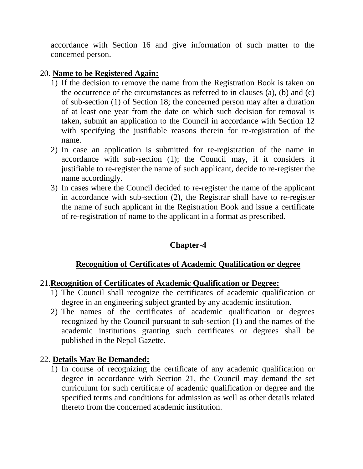accordance with Section 16 and give information of such matter to the concerned person.

### 20. **Name to be Registered Again:**

- 1) If the decision to remove the name from the Registration Book is taken on the occurrence of the circumstances as referred to in clauses (a), (b) and (c) of sub-section (1) of Section 18; the concerned person may after a duration of at least one year from the date on which such decision for removal is taken, submit an application to the Council in accordance with Section 12 with specifying the justifiable reasons therein for re-registration of the name.
- 2) In case an application is submitted for re-registration of the name in accordance with sub-section (1); the Council may, if it considers it justifiable to re-register the name of such applicant, decide to re-register the name accordingly.
- 3) In cases where the Council decided to re-register the name of the applicant in accordance with sub-section (2), the Registrar shall have to re-register the name of such applicant in the Registration Book and issue a certificate of re-registration of name to the applicant in a format as prescribed.

# **Chapter-4**

# **Recognition of Certificates of Academic Qualification or degree**

### 21.**Recognition of Certificates of Academic Qualification or Degree:**

- 1) The Council shall recognize the certificates of academic qualification or degree in an engineering subject granted by any academic institution.
- 2) The names of the certificates of academic qualification or degrees recognized by the Council pursuant to sub-section (1) and the names of the academic institutions granting such certificates or degrees shall be published in the Nepal Gazette.

# 22. **Details May Be Demanded:**

1) In course of recognizing the certificate of any academic qualification or degree in accordance with Section 21, the Council may demand the set curriculum for such certificate of academic qualification or degree and the specified terms and conditions for admission as well as other details related thereto from the concerned academic institution.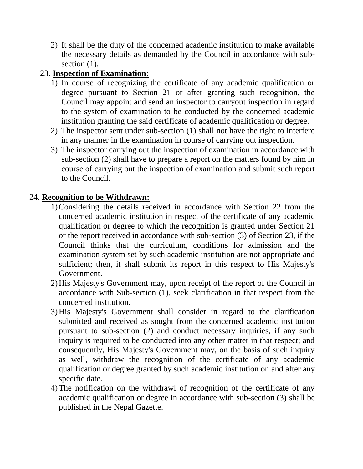2) It shall be the duty of the concerned academic institution to make available the necessary details as demanded by the Council in accordance with subsection  $(1)$ .

# 23. **Inspection of Examination:**

- 1) In course of recognizing the certificate of any academic qualification or degree pursuant to Section 21 or after granting such recognition, the Council may appoint and send an inspector to carryout inspection in regard to the system of examination to be conducted by the concerned academic institution granting the said certificate of academic qualification or degree.
- 2) The inspector sent under sub-section (1) shall not have the right to interfere in any manner in the examination in course of carrying out inspection.
- 3) The inspector carrying out the inspection of examination in accordance with sub-section (2) shall have to prepare a report on the matters found by him in course of carrying out the inspection of examination and submit such report to the Council.

## 24. **Recognition to be Withdrawn:**

- 1)Considering the details received in accordance with Section 22 from the concerned academic institution in respect of the certificate of any academic qualification or degree to which the recognition is granted under Section 21 or the report received in accordance with sub-section (3) of Section 23, if the Council thinks that the curriculum, conditions for admission and the examination system set by such academic institution are not appropriate and sufficient; then, it shall submit its report in this respect to His Majesty's Government.
- 2)His Majesty's Government may, upon receipt of the report of the Council in accordance with Sub-section (1), seek clarification in that respect from the concerned institution.
- 3)His Majesty's Government shall consider in regard to the clarification submitted and received as sought from the concerned academic institution pursuant to sub-section (2) and conduct necessary inquiries, if any such inquiry is required to be conducted into any other matter in that respect; and consequently, His Majesty's Government may, on the basis of such inquiry as well, withdraw the recognition of the certificate of any academic qualification or degree granted by such academic institution on and after any specific date.
- 4)The notification on the withdrawl of recognition of the certificate of any academic qualification or degree in accordance with sub-section (3) shall be published in the Nepal Gazette.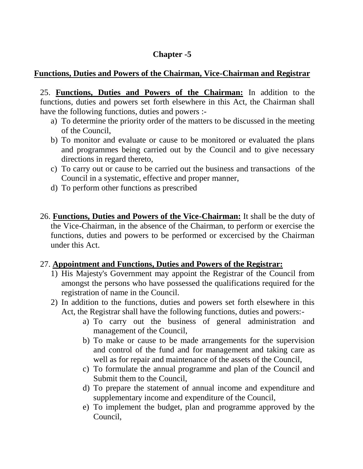# **Chapter -5**

#### **Functions, Duties and Powers of the Chairman, Vice-Chairman and Registrar**

25. **Functions, Duties and Powers of the Chairman:** In addition to the functions, duties and powers set forth elsewhere in this Act, the Chairman shall have the following functions, duties and powers :-

- a) To determine the priority order of the matters to be discussed in the meeting of the Council,
- b) To monitor and evaluate or cause to be monitored or evaluated the plans and programmes being carried out by the Council and to give necessary directions in regard thereto,
- c) To carry out or cause to be carried out the business and transactions of the Council in a systematic, effective and proper manner,
- d) To perform other functions as prescribed
- 26. **Functions, Duties and Powers of the Vice-Chairman:** It shall be the duty of the Vice-Chairman, in the absence of the Chairman, to perform or exercise the functions, duties and powers to be performed or excercised by the Chairman under this Act.

#### 27. **Appointment and Functions, Duties and Powers of the Registrar:**

- 1) His Majesty's Government may appoint the Registrar of the Council from amongst the persons who have possessed the qualifications required for the registration of name in the Council.
- 2) In addition to the functions, duties and powers set forth elsewhere in this Act, the Registrar shall have the following functions, duties and powers:
	- a) To carry out the business of general administration and management of the Council,
	- b) To make or cause to be made arrangements for the supervision and control of the fund and for management and taking care as well as for repair and maintenance of the assets of the Council,
	- c) To formulate the annual programme and plan of the Council and Submit them to the Council,
	- d) To prepare the statement of annual income and expenditure and supplementary income and expenditure of the Council,
	- e) To implement the budget, plan and programme approved by the Council,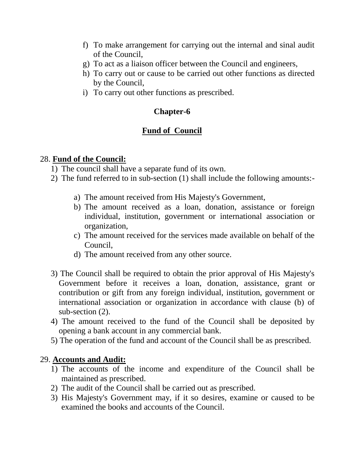- f) To make arrangement for carrying out the internal and sinal audit of the Council,
- g) To act as a liaison officer between the Council and engineers,
- h) To carry out or cause to be carried out other functions as directed by the Council,
- i) To carry out other functions as prescribed.

### **Chapter-6**

## **Fund of Council**

#### 28. **Fund of the Council:**

1) The council shall have a separate fund of its own.

- 2) The fund referred to in sub-section (1) shall include the following amounts:
	- a) The amount received from His Majesty's Government,
	- b) The amount received as a loan, donation, assistance or foreign individual, institution, government or international association or organization,
	- c) The amount received for the services made available on behalf of the Council,
	- d) The amount received from any other source.
- 3) The Council shall be required to obtain the prior approval of His Majesty's Government before it receives a loan, donation, assistance, grant or contribution or gift from any foreign individual, institution, government or international association or organization in accordance with clause (b) of sub-section (2).
- 4) The amount received to the fund of the Council shall be deposited by opening a bank account in any commercial bank.
- 5) The operation of the fund and account of the Council shall be as prescribed.

### 29. **Accounts and Audit:**

- 1) The accounts of the income and expenditure of the Council shall be maintained as prescribed.
- 2) The audit of the Council shall be carried out as prescribed.
- 3) His Majesty's Government may, if it so desires, examine or caused to be examined the books and accounts of the Council.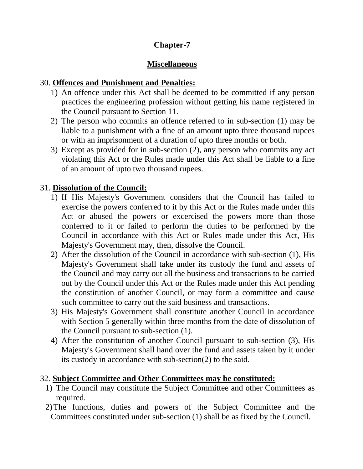# **Chapter-7**

# **Miscellaneous**

## 30. **Offences and Punishment and Penalties:**

- 1) An offence under this Act shall be deemed to be committed if any person practices the engineering profession without getting his name registered in the Council pursuant to Section 11.
- 2) The person who commits an offence referred to in sub-section (1) may be liable to a punishment with a fine of an amount upto three thousand rupees or with an imprisonment of a duration of upto three months or both.
- 3) Except as provided for in sub-section (2), any person who commits any act violating this Act or the Rules made under this Act shall be liable to a fine of an amount of upto two thousand rupees.

# 31. **Dissolution of the Council:**

- 1) If His Majesty's Government considers that the Council has failed to exercise the powers conferred to it by this Act or the Rules made under this Act or abused the powers or excercised the powers more than those conferred to it or failed to perform the duties to be performed by the Council in accordance with this Act or Rules made under this Act, His Majesty's Government may, then, dissolve the Council.
- 2) After the dissolution of the Council in accordance with sub-section (1), His Majesty's Government shall take under its custody the fund and assets of the Council and may carry out all the business and transactions to be carried out by the Council under this Act or the Rules made under this Act pending the constitution of another Council, or may form a committee and cause such committee to carry out the said business and transactions.
- 3) His Majesty's Government shall constitute another Council in accordance with Section 5 generally within three months from the date of dissolution of the Council pursuant to sub-section (1).
- 4) After the constitution of another Council pursuant to sub-section (3), His Majesty's Government shall hand over the fund and assets taken by it under its custody in accordance with sub-section(2) to the said.

### 32. **Subject Committee and Other Committees may be constituted:**

- 1) The Council may constitute the Subject Committee and other Committees as required.
- 2)The functions, duties and powers of the Subject Committee and the Committees constituted under sub-section (1) shall be as fixed by the Council.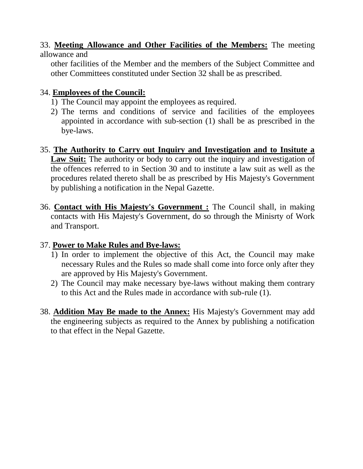### 33. **Meeting Allowance and Other Facilities of the Members:** The meeting allowance and

other facilities of the Member and the members of the Subject Committee and other Committees constituted under Section 32 shall be as prescribed.

### 34. **Employees of the Council:**

- 1) The Council may appoint the employees as required.
- 2) The terms and conditions of service and facilities of the employees appointed in accordance with sub-section (1) shall be as prescribed in the bye-laws.
- 35. **The Authority to Carry out Inquiry and Investigation and to Insitute a**  Law Suit: The authority or body to carry out the inquiry and investigation of the offences referred to in Section 30 and to institute a law suit as well as the procedures related thereto shall be as prescribed by His Majesty's Government by publishing a notification in the Nepal Gazette.
- 36. **Contact with His Majesty's Government :** The Council shall, in making contacts with His Majesty's Government, do so through the Minisrty of Work and Transport.

### 37. **Power to Make Rules and Bye-laws:**

- 1) In order to implement the objective of this Act, the Council may make necessary Rules and the Rules so made shall come into force only after they are approved by His Majesty's Government.
- 2) The Council may make necessary bye-laws without making them contrary to this Act and the Rules made in accordance with sub-rule (1).
- 38. **Addition May Be made to the Annex:** His Majesty's Government may add the engineering subjects as required to the Annex by publishing a notification to that effect in the Nepal Gazette.